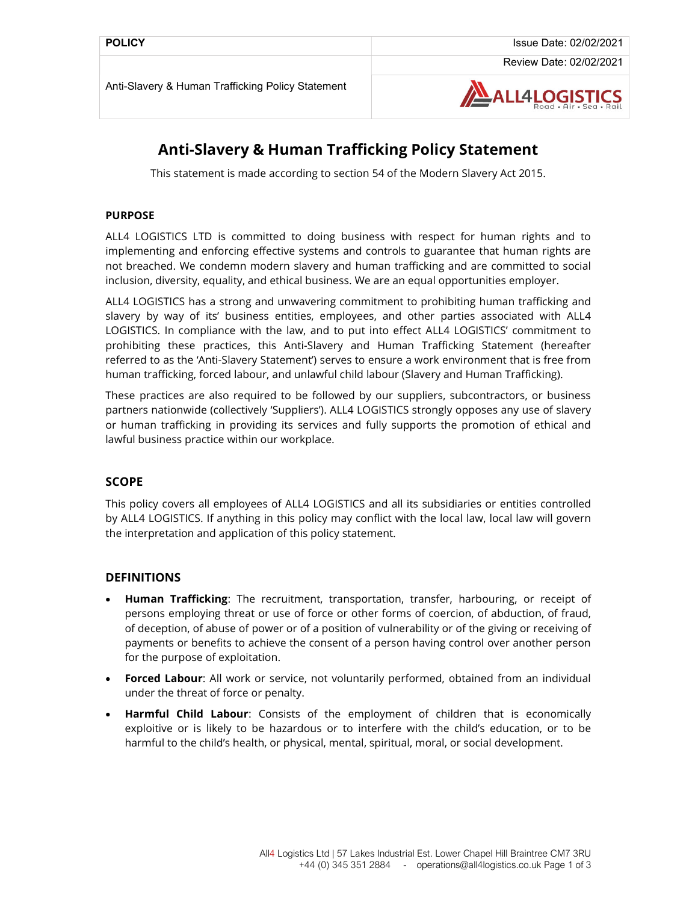

# Anti-Slavery & Human Trafficking Policy Statement

This statement is made according to section 54 of the Modern Slavery Act 2015.

#### PURPOSE

ALL4 LOGISTICS LTD is committed to doing business with respect for human rights and to implementing and enforcing effective systems and controls to guarantee that human rights are not breached. We condemn modern slavery and human trafficking and are committed to social inclusion, diversity, equality, and ethical business. We are an equal opportunities employer.

ALL4 LOGISTICS has a strong and unwavering commitment to prohibiting human trafficking and slavery by way of its' business entities, employees, and other parties associated with ALL4 LOGISTICS. In compliance with the law, and to put into effect ALL4 LOGISTICS' commitment to prohibiting these practices, this Anti-Slavery and Human Trafficking Statement (hereafter referred to as the 'Anti-Slavery Statement') serves to ensure a work environment that is free from human trafficking, forced labour, and unlawful child labour (Slavery and Human Trafficking).

These practices are also required to be followed by our suppliers, subcontractors, or business partners nationwide (collectively 'Suppliers'). ALL4 LOGISTICS strongly opposes any use of slavery or human trafficking in providing its services and fully supports the promotion of ethical and lawful business practice within our workplace.

## **SCOPE**

This policy covers all employees of ALL4 LOGISTICS and all its subsidiaries or entities controlled by ALL4 LOGISTICS. If anything in this policy may conflict with the local law, local law will govern the interpretation and application of this policy statement.

#### **DEFINITIONS**

- **Human Trafficking:** The recruitment, transportation, transfer, harbouring, or receipt of persons employing threat or use of force or other forms of coercion, of abduction, of fraud, of deception, of abuse of power or of a position of vulnerability or of the giving or receiving of payments or benefits to achieve the consent of a person having control over another person for the purpose of exploitation.
- Forced Labour: All work or service, not voluntarily performed, obtained from an individual under the threat of force or penalty.
- Harmful Child Labour: Consists of the employment of children that is economically exploitive or is likely to be hazardous or to interfere with the child's education, or to be harmful to the child's health, or physical, mental, spiritual, moral, or social development.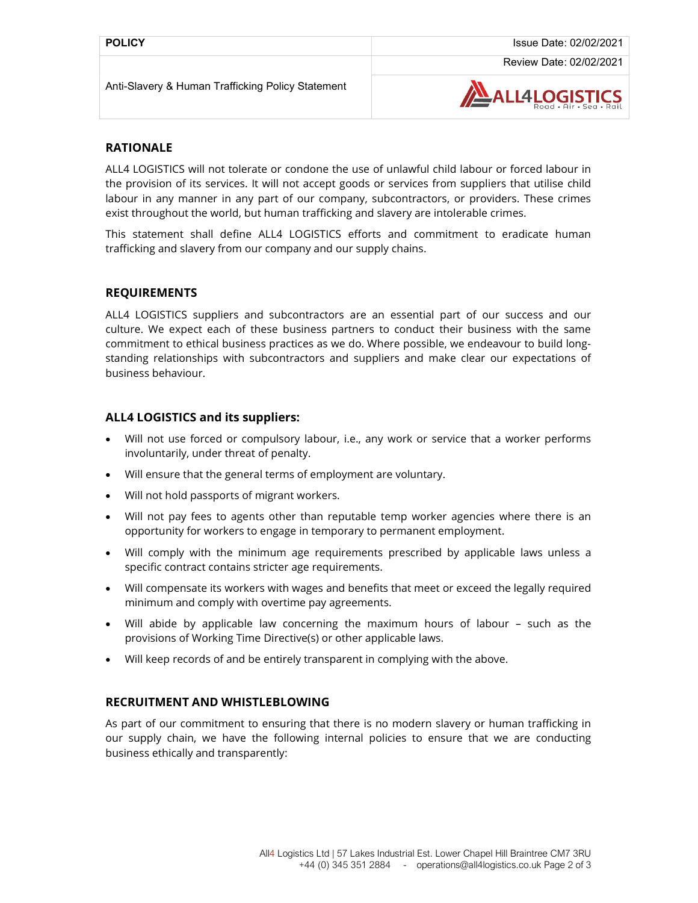Review Date: 02/02/2021

Anti-Slavery & Human Trafficking Policy Statement



# RATIONALE

ALL4 LOGISTICS will not tolerate or condone the use of unlawful child labour or forced labour in the provision of its services. It will not accept goods or services from suppliers that utilise child labour in any manner in any part of our company, subcontractors, or providers. These crimes exist throughout the world, but human trafficking and slavery are intolerable crimes.

This statement shall define ALL4 LOGISTICS efforts and commitment to eradicate human trafficking and slavery from our company and our supply chains.

#### REQUIREMENTS

ALL4 LOGISTICS suppliers and subcontractors are an essential part of our success and our culture. We expect each of these business partners to conduct their business with the same commitment to ethical business practices as we do. Where possible, we endeavour to build longstanding relationships with subcontractors and suppliers and make clear our expectations of business behaviour.

## ALL4 LOGISTICS and its suppliers:

- Will not use forced or compulsory labour, i.e., any work or service that a worker performs involuntarily, under threat of penalty.
- Will ensure that the general terms of employment are voluntary.
- Will not hold passports of migrant workers.
- Will not pay fees to agents other than reputable temp worker agencies where there is an opportunity for workers to engage in temporary to permanent employment.
- Will comply with the minimum age requirements prescribed by applicable laws unless a specific contract contains stricter age requirements.
- Will compensate its workers with wages and benefits that meet or exceed the legally required minimum and comply with overtime pay agreements.
- Will abide by applicable law concerning the maximum hours of labour such as the provisions of Working Time Directive(s) or other applicable laws.
- Will keep records of and be entirely transparent in complying with the above.

# RECRUITMENT AND WHISTLEBLOWING

As part of our commitment to ensuring that there is no modern slavery or human trafficking in our supply chain, we have the following internal policies to ensure that we are conducting business ethically and transparently: